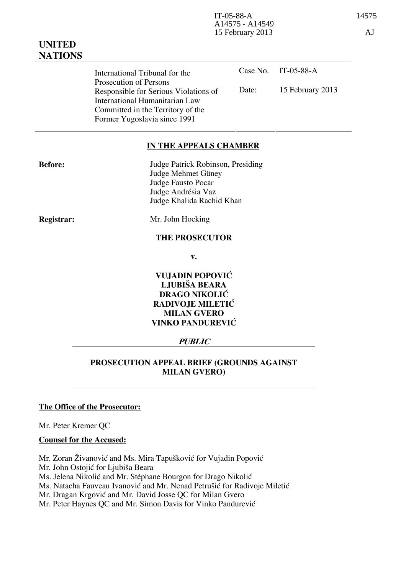Case No. IT-05-88-A Date: 15 February 2013 International Tribunal for the Prosecution of Persons Responsible for Serious Violations of International Humanitarian Law Committed in the Territory of the Former Yugoslavia since 1991

### **IN THE APPEALS CHAMBER**

| <b>Before:</b> | Judge Patrick Robinson, Presiding |
|----------------|-----------------------------------|
|                | Judge Mehmet Güney                |
|                | Judge Fausto Pocar                |
|                | Judge Andrésia Vaz                |
|                | Judge Khalida Rachid Khan         |

**Registrar:** Mr. John Hocking

#### **THE PROSECUTOR**

**v.** 

**VUJADIN POPOVIĆ LJUBIŠA BEARA DRAGO NIKOLIĆ RADIVOJE MILETIĆ MILAN GVERO VINKO PANDUREVIĆ** 

### **PUBLIC**

### **PROSECUTION APPEAL BRIEF (GROUNDS AGAINST MILAN GVERO)**

### **The Office of the Prosecutor:**

Mr. Peter Kremer QC

#### **Counsel for the Accused:**

Mr. Zoran Živanović and Ms. Mira Tapušković for Vujadin Popović

Mr. John Ostojić for Ljubiša Beara

Ms. Jelena Nikolić and Mr. Stéphane Bourgon for Drago Nikolić

Ms. Natacha Fauveau Ivanović and Mr. Nenad Petrušić for Radivoje Miletić

Mr. Dragan Krgović and Mr. David Josse QC for Milan Gvero

Mr. Peter Haynes QC and Mr. Simon Davis for Vinko Pandurević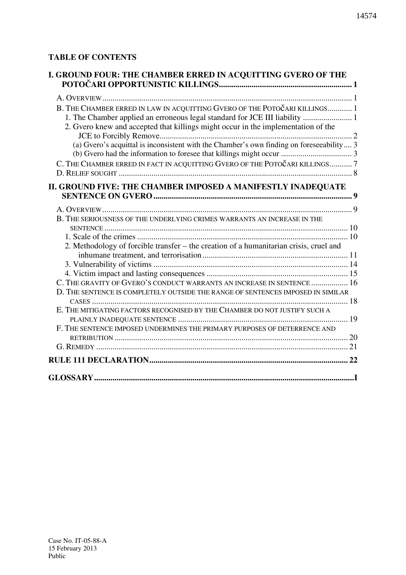# **TABLE OF CONTENTS**

| I. GROUND FOUR: THE CHAMBER ERRED IN ACQUITTING GVERO OF THE                             |  |
|------------------------------------------------------------------------------------------|--|
|                                                                                          |  |
| B. THE CHAMBER ERRED IN LAW IN ACQUITTING GVERO OF THE POTOČARI KILLINGS 1               |  |
| 1. The Chamber applied an erroneous legal standard for JCE III liability  1              |  |
| 2. Gvero knew and accepted that killings might occur in the implementation of the        |  |
| (a) Gvero's acquittal is inconsistent with the Chamber's own finding on foreseeability 3 |  |
|                                                                                          |  |
| C. THE CHAMBER ERRED IN FACT IN ACQUITTING GVERO OF THE POTOČARI KILLINGS7               |  |
|                                                                                          |  |
| II. GROUND FIVE: THE CHAMBER IMPOSED A MANIFESTLY INADEQUATE                             |  |
|                                                                                          |  |
|                                                                                          |  |
| B. THE SERIOUSNESS OF THE UNDERLYING CRIMES WARRANTS AN INCREASE IN THE                  |  |
|                                                                                          |  |
|                                                                                          |  |
| 2. Methodology of forcible transfer – the creation of a humanitarian crisis, cruel and   |  |
|                                                                                          |  |
|                                                                                          |  |
|                                                                                          |  |
| C. THE GRAVITY OF GVERO'S CONDUCT WARRANTS AN INCREASE IN SENTENCE  16                   |  |
| D. THE SENTENCE IS COMPLETELY OUTSIDE THE RANGE OF SENTENCES IMPOSED IN SIMILAR          |  |
|                                                                                          |  |
| E. THE MITIGATING FACTORS RECOGNISED BY THE CHAMBER DO NOT JUSTIFY SUCH A                |  |
|                                                                                          |  |
| F. THE SENTENCE IMPOSED UNDERMINES THE PRIMARY PURPOSES OF DETERRENCE AND                |  |
|                                                                                          |  |
|                                                                                          |  |
|                                                                                          |  |
|                                                                                          |  |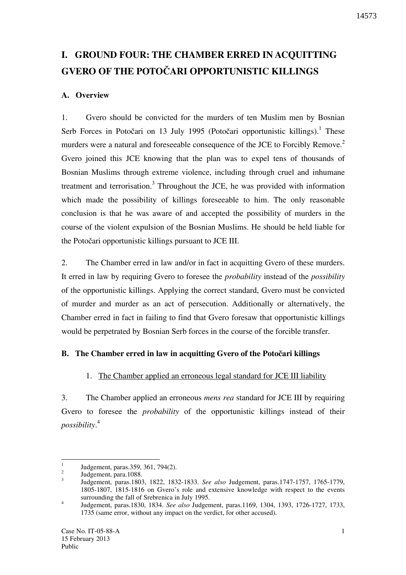# **I. GROUND FOUR: THE CHAMBER ERRED IN ACQUITTING GVERO OF THE POTOČARI OPPORTUNISTIC KILLINGS**

### **A. Overview**

1. Gvero should be convicted for the murders of ten Muslim men by Bosnian Serb Forces in Potočari on 13 July 1995 (Potočari opportunistic killings).<sup>1</sup> These murders were a natural and foreseeable consequence of the JCE to Forcibly Remove.<sup>2</sup> Gvero joined this JCE knowing that the plan was to expel tens of thousands of Bosnian Muslims through extreme violence, including through cruel and inhumane treatment and terrorisation.<sup>3</sup> Throughout the JCE, he was provided with information which made the possibility of killings foreseeable to him. The only reasonable conclusion is that he was aware of and accepted the possibility of murders in the course of the violent expulsion of the Bosnian Muslims. He should be held liable for the Potočari opportunistic killings pursuant to JCE III.

2. The Chamber erred in law and/or in fact in acquitting Gvero of these murders. It erred in law by requiring Gvero to foresee the *probability* instead of the *possibility* of the opportunistic killings. Applying the correct standard, Gvero must be convicted of murder and murder as an act of persecution. Additionally or alternatively, the Chamber erred in fact in failing to find that Gvero foresaw that opportunistic killings would be perpetrated by Bosnian Serb forces in the course of the forcible transfer.

### **B.** The Chamber erred in law in acquitting Gvero of the Potočari killings

### 1. The Chamber applied an erroneous legal standard for JCE III liability

3. The Chamber applied an erroneous *mens rea* standard for JCE III by requiring Gvero to foresee the *probability* of the opportunistic killings instead of their *possibility*. 4

 $\frac{1}{1}$ Judgement, paras.359, 361, 794(2).

<sup>2</sup> Judgement, para.1088.

<sup>3</sup> Judgement, paras.1803, 1822, 1832-1833. *See also* Judgement, paras.1747-1757, 1765-1779, 1805-1807, 1815-1816 on Gvero's role and extensive knowledge with respect to the events surrounding the fall of Srebrenica in July 1995.

<sup>4</sup> Judgement, paras.1830, 1834. *See also* Judgement, paras.1169, 1304, 1393, 1726-1727, 1733, 1735 (same error, without any impact on the verdict, for other accused).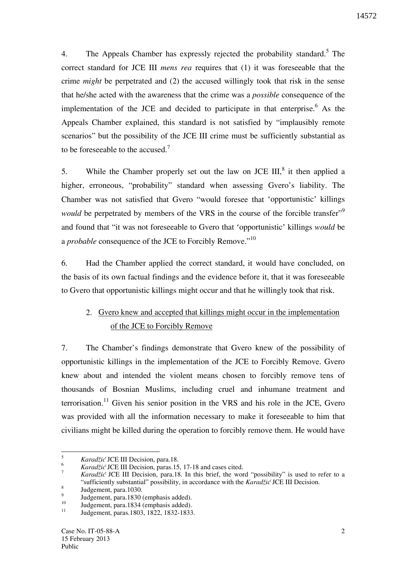4. The Appeals Chamber has expressly rejected the probability standard.<sup>5</sup> The correct standard for JCE III *mens rea* requires that (1) it was foreseeable that the crime *might* be perpetrated and (2) the accused willingly took that risk in the sense that he/she acted with the awareness that the crime was a *possible* consequence of the implementation of the JCE and decided to participate in that enterprise. As the Appeals Chamber explained, this standard is not satisfied by "implausibly remote scenarios" but the possibility of the JCE III crime must be sufficiently substantial as to be foreseeable to the accused.<sup>7</sup>

5. While the Chamber properly set out the law on JCE  $III$ ,<sup>8</sup> it then applied a higher, erroneous, "probability" standard when assessing Gvero's liability. The Chamber was not satisfied that Gvero "would foresee that 'opportunistic' killings *would* be perpetrated by members of the VRS in the course of the forcible transfer<sup>"9</sup> and found that "it was not foreseeable to Gvero that 'opportunistic' killings *would* be a *probable* consequence of the JCE to Forcibly Remove."<sup>10</sup>

6. Had the Chamber applied the correct standard, it would have concluded, on the basis of its own factual findings and the evidence before it, that it was foreseeable to Gvero that opportunistic killings might occur and that he willingly took that risk.

# 2. Gvero knew and accepted that killings might occur in the implementation of the JCE to Forcibly Remove

7. The Chamber's findings demonstrate that Gvero knew of the possibility of opportunistic killings in the implementation of the JCE to Forcibly Remove. Gvero knew about and intended the violent means chosen to forcibly remove tens of thousands of Bosnian Muslims, including cruel and inhumane treatment and terrorisation.<sup>11</sup> Given his senior position in the VRS and his role in the JCE, Gvero was provided with all the information necessary to make it foreseeable to him that civilians might be killed during the operation to forcibly remove them. He would have

 5 *Karadžić* JCE III Decision, para.18.

<sup>6</sup> *Karadžić* JCE III Decision, paras.15, 17-18 and cases cited.

<sup>7</sup> *Karadžić* JCE III Decision, para.18. In this brief, the word "possibility" is used to refer to a "sufficiently substantial" possibility, in accordance with the *Karadžić* JCE III Decision. 8

Judgement, para.1030. **9** 

 $J_{10}$  Judgement, para.1830 (emphasis added).

 $10^{10}$  Judgement, para.1834 (emphasis added).

<sup>11</sup> Judgement, paras.1803, 1822, 1832-1833.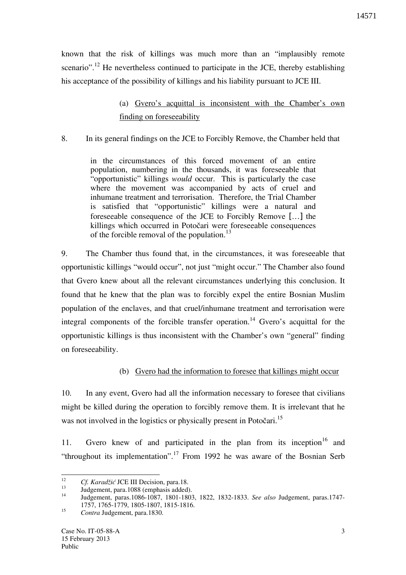known that the risk of killings was much more than an "implausibly remote scenario".<sup>12</sup> He nevertheless continued to participate in the JCE, thereby establishing his acceptance of the possibility of killings and his liability pursuant to JCE III.

# (a) Gvero's acquittal is inconsistent with the Chamber's own finding on foreseeability

### 8. In its general findings on the JCE to Forcibly Remove, the Chamber held that

in the circumstances of this forced movement of an entire population, numbering in the thousands, it was foreseeable that "opportunistic" killings *would* occur. This is particularly the case where the movement was accompanied by acts of cruel and inhumane treatment and terrorisation. Therefore, the Trial Chamber is satisfied that "opportunistic" killings were a natural and foreseeable consequence of the JCE to Forcibly Remove […] the killings which occurred in Potočari were foreseeable consequences of the forcible removal of the population.<sup>13</sup>

9. The Chamber thus found that, in the circumstances, it was foreseeable that opportunistic killings "would occur", not just "might occur." The Chamber also found that Gvero knew about all the relevant circumstances underlying this conclusion. It found that he knew that the plan was to forcibly expel the entire Bosnian Muslim population of the enclaves, and that cruel/inhumane treatment and terrorisation were integral components of the forcible transfer operation.<sup>14</sup> Gvero's acquittal for the opportunistic killings is thus inconsistent with the Chamber's own "general" finding on foreseeability.

### (b) Gvero had the information to foresee that killings might occur

10. In any event, Gvero had all the information necessary to foresee that civilians might be killed during the operation to forcibly remove them. It is irrelevant that he was not involved in the logistics or physically present in Potočari.<sup>15</sup>

11. Gvero knew of and participated in the plan from its inception<sup>16</sup> and "throughout its implementation".<sup>17</sup> From 1992 he was aware of the Bosnian Serb

<sup>&</sup>lt;sup>12</sup> <sup>12</sup> *Cf. Karadžić* JCE III Decision, para.18.

 $13$  Judgement, para. 1088 (emphasis added).

<sup>14</sup> Judgement, paras.1086-1087, 1801-1803, 1822, 1832-1833. *See also* Judgement, paras.1747- 1757, 1765-1779, 1805-1807, 1815-1816.

<sup>15</sup> *Contra* Judgement, para.1830.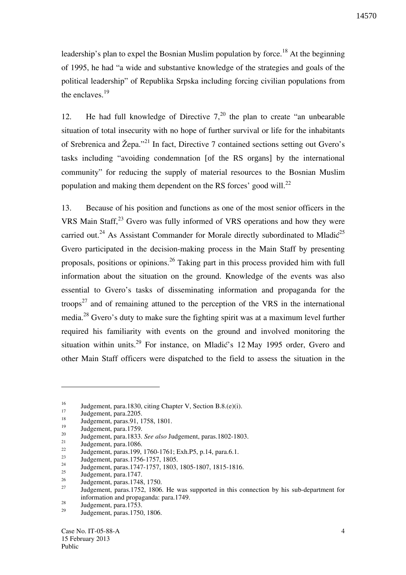leadership's plan to expel the Bosnian Muslim population by force.<sup>18</sup> At the beginning of 1995, he had "a wide and substantive knowledge of the strategies and goals of the political leadership" of Republika Srpska including forcing civilian populations from the enclaves. $^{19}$ 

12. He had full knowledge of Directive  $7<sub>1</sub><sup>20</sup>$  the plan to create "an unbearable" situation of total insecurity with no hope of further survival or life for the inhabitants of Srebrenica and Žepa."<sup>21</sup> In fact, Directive 7 contained sections setting out Gvero's tasks including "avoiding condemnation [of the RS organs] by the international community" for reducing the supply of material resources to the Bosnian Muslim population and making them dependent on the RS forces' good will.<sup>22</sup>

13. Because of his position and functions as one of the most senior officers in the VRS Main Staff,<sup>23</sup> Gvero was fully informed of VRS operations and how they were carried out.<sup>24</sup> As Assistant Commander for Morale directly subordinated to Mladi $\zeta^{25}$ Gvero participated in the decision-making process in the Main Staff by presenting proposals, positions or opinions.<sup>26</sup> Taking part in this process provided him with full information about the situation on the ground. Knowledge of the events was also essential to Gvero's tasks of disseminating information and propaganda for the troops<sup>27</sup> and of remaining attuned to the perception of the VRS in the international media.<sup>28</sup> Gvero's duty to make sure the fighting spirit was at a maximum level further required his familiarity with events on the ground and involved monitoring the situation within units.<sup>29</sup> For instance, on Mladić's 12 May 1995 order, Gvero and other Main Staff officers were dispatched to the field to assess the situation in the

 $\overline{a}$ 

<sup>&</sup>lt;sup>16</sup> Judgement, para.1830, citing Chapter V, Section B.8.(e)(i).

 $\frac{17}{18}$  Judgement, para.2205.

<sup>&</sup>lt;sup>18</sup> Judgement, paras. 91, 1758, 1801.

 $\frac{19}{20}$  Judgement, para. 1759.

<sup>20</sup> Judgement, para.1833. *See also* Judgement, paras.1802-1803.

 $\frac{21}{22}$  Judgement, para. 1086.

 $\frac{22}{23}$  Judgement, paras.199, 1760-1761; Exh.P5, p.14, para.6.1.

<sup>&</sup>lt;sup>23</sup> Judgement, paras.1756-1757, 1805.

<sup>&</sup>lt;sup>24</sup> Judgement, paras.1747-1757, 1803, 1805-1807, 1815-1816.

 $\frac{25}{26}$  Judgement, para. 1747.

<sup>&</sup>lt;sup>26</sup> Judgement, paras. 1748, 1750.

Judgement, paras.1752, 1806. He was supported in this connection by his sub-department for information and propaganda: para.1749.

 $\frac{28}{29}$  Judgement, para.1753.

Judgement, paras.1750, 1806.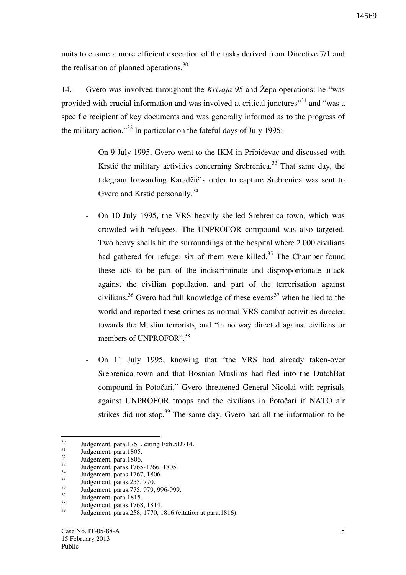units to ensure a more efficient execution of the tasks derived from Directive 7/1 and the realisation of planned operations.<sup>30</sup>

14. Gvero was involved throughout the *Krivaja-95* and Žepa operations: he "was provided with crucial information and was involved at critical junctures"<sup>31</sup> and "was a specific recipient of key documents and was generally informed as to the progress of the military action."<sup>32</sup> In particular on the fateful days of July 1995:

- On 9 July 1995, Gvero went to the IKM in Pribićevac and discussed with Krstić the military activities concerning Srebrenica.<sup>33</sup> That same day, the telegram forwarding Karadžić's order to capture Srebrenica was sent to Gvero and Krstić personally.<sup>34</sup>
- On 10 July 1995, the VRS heavily shelled Srebrenica town, which was crowded with refugees. The UNPROFOR compound was also targeted. Two heavy shells hit the surroundings of the hospital where 2,000 civilians had gathered for refuge: six of them were killed.<sup>35</sup> The Chamber found these acts to be part of the indiscriminate and disproportionate attack against the civilian population, and part of the terrorisation against civilians.<sup>36</sup> Gvero had full knowledge of these events<sup>37</sup> when he lied to the world and reported these crimes as normal VRS combat activities directed towards the Muslim terrorists, and "in no way directed against civilians or members of UNPROFOR".<sup>38</sup>
- On 11 July 1995, knowing that "the VRS had already taken-over Srebrenica town and that Bosnian Muslims had fled into the DutchBat compound in Potočari," Gvero threatened General Nicolai with reprisals against UNPROFOR troops and the civilians in Potočari if NATO air strikes did not stop.<sup>39</sup> The same day, Gvero had all the information to be

 $\overline{a}$ 

 $30$  Judgement, para.1751, citing Exh.5D714.

 $\frac{31}{32}$  Judgement, para.1805.

 $32 \text{Judgement}$ , para.1806.

<sup>&</sup>lt;sup>33</sup> Judgement, paras.1765-1766, 1805.

 $34$  Judgement, paras. 1767, 1806.

 $35$  Judgement, paras. 255, 770.

<sup>&</sup>lt;sup>36</sup> Judgement, paras.775, 979, 996-999.

 $37 \text{Judgement}$ , para. 1815.

 $38 \text{ Judgement, paras.} 1768, 1814.$ 

<sup>39</sup> Judgement, paras.258, 1770, 1816 (citation at para.1816).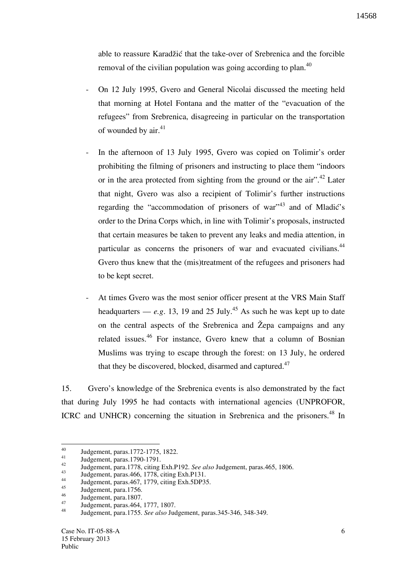able to reassure Karadžić that the take-over of Srebrenica and the forcible removal of the civilian population was going according to plan.<sup>40</sup>

- On 12 July 1995, Gvero and General Nicolai discussed the meeting held that morning at Hotel Fontana and the matter of the "evacuation of the refugees" from Srebrenica, disagreeing in particular on the transportation of wounded by air. $41$
- In the afternoon of 13 July 1995, Gvero was copied on Tolimir's order prohibiting the filming of prisoners and instructing to place them "indoors or in the area protected from sighting from the ground or the air".<sup>42</sup> Later that night, Gvero was also a recipient of Tolimir's further instructions regarding the "accommodation of prisoners of war"<sup>43</sup> and of Mladić's order to the Drina Corps which, in line with Tolimir's proposals, instructed that certain measures be taken to prevent any leaks and media attention, in particular as concerns the prisoners of war and evacuated civilians.<sup>44</sup> Gvero thus knew that the (mis)treatment of the refugees and prisoners had to be kept secret.
- At times Gvero was the most senior officer present at the VRS Main Staff headquarters —  $e.g.$  13, 19 and 25 July.<sup>45</sup> As such he was kept up to date on the central aspects of the Srebrenica and  $\check{Z}$ epa campaigns and any related issues.<sup>46</sup> For instance, Gvero knew that a column of Bosnian Muslims was trying to escape through the forest: on 13 July, he ordered that they be discovered, blocked, disarmed and captured.<sup>47</sup>

15. Gvero's knowledge of the Srebrenica events is also demonstrated by the fact that during July 1995 he had contacts with international agencies (UNPROFOR, ICRC and UNHCR) concerning the situation in Srebrenica and the prisoners.<sup>48</sup> In

<sup>40</sup>  $^{40}$  Judgement, paras.1772-1775, 1822.

 $\frac{41}{42}$  Judgement, paras. 1790-1791.

<sup>42</sup> Judgement, para.1778, citing Exh.P192. *See also* Judgement, paras.465, 1806.

<sup>43</sup> Judgement, paras. 466, 1778, citing Exh. P131.

<sup>44</sup> Judgement, paras. 467, 1779, citing Exh. 5DP35.

 $\frac{45}{46}$  Judgement, para. 1756.

 $\frac{46}{47}$  Judgement, para.1807.

<sup>47</sup> Judgement, paras. 464, 1777, 1807.

<sup>48</sup> Judgement, para.1755. *See also* Judgement, paras.345-346, 348-349.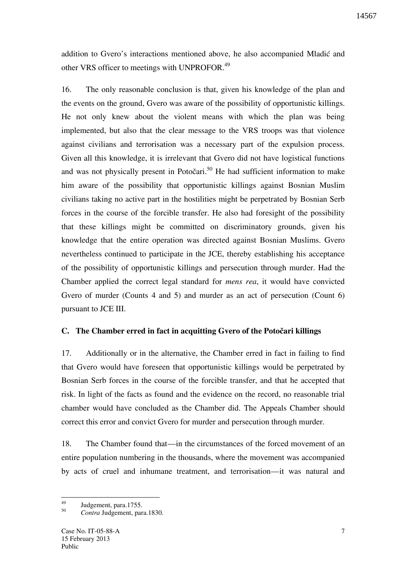addition to Gvero's interactions mentioned above, he also accompanied Mladić and other VRS officer to meetings with UNPROFOR.<sup>49</sup>

16. The only reasonable conclusion is that, given his knowledge of the plan and the events on the ground, Gvero was aware of the possibility of opportunistic killings. He not only knew about the violent means with which the plan was being implemented, but also that the clear message to the VRS troops was that violence against civilians and terrorisation was a necessary part of the expulsion process. Given all this knowledge, it is irrelevant that Gvero did not have logistical functions and was not physically present in Potočari.<sup>50</sup> He had sufficient information to make him aware of the possibility that opportunistic killings against Bosnian Muslim civilians taking no active part in the hostilities might be perpetrated by Bosnian Serb forces in the course of the forcible transfer. He also had foresight of the possibility that these killings might be committed on discriminatory grounds, given his knowledge that the entire operation was directed against Bosnian Muslims. Gvero nevertheless continued to participate in the JCE, thereby establishing his acceptance of the possibility of opportunistic killings and persecution through murder. Had the Chamber applied the correct legal standard for *mens rea*, it would have convicted Gvero of murder (Counts 4 and 5) and murder as an act of persecution (Count 6) pursuant to JCE III.

### **C.** The Chamber erred in fact in acquitting Gvero of the Potočari killings

17. Additionally or in the alternative, the Chamber erred in fact in failing to find that Gvero would have foreseen that opportunistic killings would be perpetrated by Bosnian Serb forces in the course of the forcible transfer, and that he accepted that risk. In light of the facts as found and the evidence on the record, no reasonable trial chamber would have concluded as the Chamber did. The Appeals Chamber should correct this error and convict Gvero for murder and persecution through murder.

18. The Chamber found that—in the circumstances of the forced movement of an entire population numbering in the thousands, where the movement was accompanied by acts of cruel and inhumane treatment, and terrorisation—it was natural and

<sup>49</sup> Judgement, para.1755.

<sup>50</sup> *Contra* Judgement, para.1830.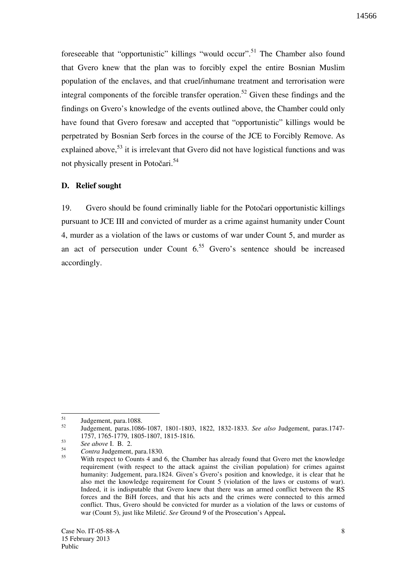foreseeable that "opportunistic" killings "would occur".<sup>51</sup> The Chamber also found that Gvero knew that the plan was to forcibly expel the entire Bosnian Muslim population of the enclaves, and that cruel/inhumane treatment and terrorisation were integral components of the forcible transfer operation.<sup>52</sup> Given these findings and the findings on Gvero's knowledge of the events outlined above, the Chamber could only have found that Gvero foresaw and accepted that "opportunistic" killings would be perpetrated by Bosnian Serb forces in the course of the JCE to Forcibly Remove. As explained above,  $53$  it is irrelevant that Gvero did not have logistical functions and was not physically present in Potočari.<sup>54</sup>

### **D. Relief sought**

19. Gvero should be found criminally liable for the Potočari opportunistic killings pursuant to JCE III and convicted of murder as a crime against humanity under Count 4, murder as a violation of the laws or customs of war under Count 5, and murder as an act of persecution under Count  $6^{55}$  Gvero's sentence should be increased accordingly.

 $51$  $51$  Judgement, para. 1088.

<sup>52</sup> Judgement, paras.1086-1087, 1801-1803, 1822, 1832-1833. *See also* Judgement, paras.1747- 1757, 1765-1779, 1805-1807, 1815-1816.

<sup>53</sup> *See above* I. B. 2.

<sup>54</sup> <sup>54</sup> *Contra* Judgement, para.1830.

With respect to Counts 4 and 6, the Chamber has already found that Gvero met the knowledge requirement (with respect to the attack against the civilian population) for crimes against humanity: Judgement, para.1824. Given's Gvero's position and knowledge, it is clear that he also met the knowledge requirement for Count 5 (violation of the laws or customs of war). Indeed, it is indisputable that Gvero knew that there was an armed conflict between the RS forces and the BiH forces, and that his acts and the crimes were connected to this armed conflict. Thus, Gvero should be convicted for murder as a violation of the laws or customs of war (Count 5), just like Miletić. *See* Ground 9 of the Prosecution's Appeal.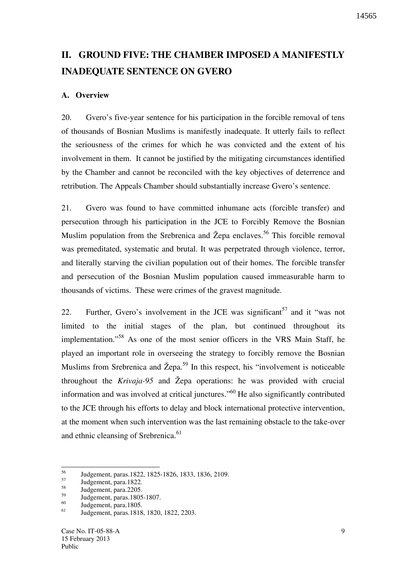# **II. GROUND FIVE: THE CHAMBER IMPOSED A MANIFESTLY INADEQUATE SENTENCE ON GVERO**

### **A. Overview**

20. Gvero's five-year sentence for his participation in the forcible removal of tens of thousands of Bosnian Muslims is manifestly inadequate. It utterly fails to reflect the seriousness of the crimes for which he was convicted and the extent of his involvement in them. It cannot be justified by the mitigating circumstances identified by the Chamber and cannot be reconciled with the key objectives of deterrence and retribution. The Appeals Chamber should substantially increase Gvero's sentence.

21. Gvero was found to have committed inhumane acts (forcible transfer) and persecution through his participation in the JCE to Forcibly Remove the Bosnian Muslim population from the Srebrenica and Žepa enclaves.<sup>56</sup> This forcible removal was premeditated, systematic and brutal. It was perpetrated through violence, terror, and literally starving the civilian population out of their homes. The forcible transfer and persecution of the Bosnian Muslim population caused immeasurable harm to thousands of victims. These were crimes of the gravest magnitude.

22. Further, Gvero's involvement in the JCE was significant  $57$  and it "was not limited to the initial stages of the plan, but continued throughout its implementation."<sup>58</sup> As one of the most senior officers in the VRS Main Staff, he played an important role in overseeing the strategy to forcibly remove the Bosnian Muslims from Srebrenica and  $\check{Z}epa$ .<sup>59</sup> In this respect, his "involvement is noticeable throughout the *Krivaja-95* and Žepa operations: he was provided with crucial information and was involved at critical junctures."<sup>60</sup> He also significantly contributed to the JCE through his efforts to delay and block international protective intervention, at the moment when such intervention was the last remaining obstacle to the take-over and ethnic cleansing of Srebrenica.<sup>61</sup>

<sup>56</sup> <sup>56</sup> Judgement, paras.1822, 1825-1826, 1833, 1836, 2109.

 $58$  Judgement, para. 1822.

 $\frac{58}{59}$  Judgement, para.2205.

<sup>&</sup>lt;sup>59</sup> Judgement, paras. 1805-1807.

 $^{60}_{61}$  Judgement, para.1805.

<sup>61</sup> Judgement, paras.1818, 1820, 1822, 2203.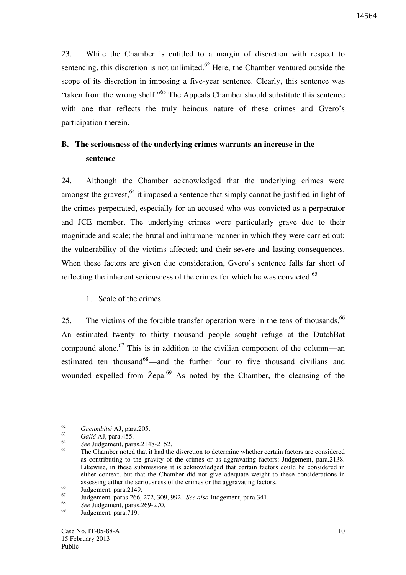23. While the Chamber is entitled to a margin of discretion with respect to sentencing, this discretion is not unlimited.<sup>62</sup> Here, the Chamber ventured outside the scope of its discretion in imposing a five-year sentence. Clearly, this sentence was "taken from the wrong shelf."<sup>63</sup> The Appeals Chamber should substitute this sentence with one that reflects the truly heinous nature of these crimes and Gvero's participation therein.

# **B. The seriousness of the underlying crimes warrants an increase in the sentence**

24. Although the Chamber acknowledged that the underlying crimes were amongst the gravest,  $64$  it imposed a sentence that simply cannot be justified in light of the crimes perpetrated, especially for an accused who was convicted as a perpetrator and JCE member. The underlying crimes were particularly grave due to their magnitude and scale; the brutal and inhumane manner in which they were carried out; the vulnerability of the victims affected; and their severe and lasting consequences. When these factors are given due consideration, Gvero's sentence falls far short of reflecting the inherent seriousness of the crimes for which he was convicted.<sup>65</sup>

### 1. Scale of the crimes

25. The victims of the forcible transfer operation were in the tens of thousands.<sup>66</sup> An estimated twenty to thirty thousand people sought refuge at the DutchBat compound alone.<sup>67</sup> This is in addition to the civilian component of the column—an estimated ten thousand<sup>68</sup>—and the further four to five thousand civilians and wounded expelled from  $\check{Z}$ epa.<sup>69</sup> As noted by the Chamber, the cleansing of the

 62 *Gacumbitsi* AJ, para.205.

<sup>63</sup> *Gali}* AJ, para.455.

<sup>64</sup> <sup>64</sup> *See* Judgement, paras.2148-2152.

The Chamber noted that it had the discretion to determine whether certain factors are considered as contributing to the gravity of the crimes or as aggravating factors: Judgement, para.2138. Likewise, in these submissions it is acknowledged that certain factors could be considered in either context, but that the Chamber did not give adequate weight to these considerations in assessing either the seriousness of the crimes or the aggravating factors.

 $\frac{66}{67}$  Judgement, para.2149.

<sup>67</sup> Judgement, paras.266, 272, 309, 992. *See also* Judgement, para.341.

<sup>68</sup> <sup>68</sup> *See* Judgement, paras. 269-270.

Judgement, para.719.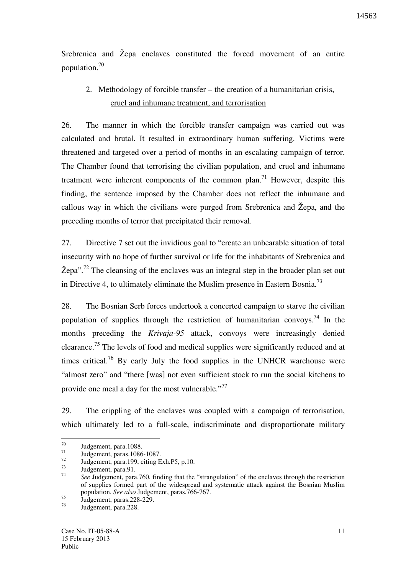Srebrenica and Žepa enclaves constituted the forced movement of an entire population.<sup>70</sup>

# 2. Methodology of forcible transfer – the creation of a humanitarian crisis, cruel and inhumane treatment, and terrorisation

26. The manner in which the forcible transfer campaign was carried out was calculated and brutal. It resulted in extraordinary human suffering. Victims were threatened and targeted over a period of months in an escalating campaign of terror. The Chamber found that terrorising the civilian population, and cruel and inhumane treatment were inherent components of the common plan.<sup>71</sup> However, despite this finding, the sentence imposed by the Chamber does not reflect the inhumane and callous way in which the civilians were purged from Srebrenica and Žepa, and the preceding months of terror that precipitated their removal.

27. Directive 7 set out the invidious goal to "create an unbearable situation of total insecurity with no hope of further survival or life for the inhabitants of Srebrenica and  $\text{Zepa}$ ".<sup>72</sup> The cleansing of the enclaves was an integral step in the broader plan set out in Directive 4, to ultimately eliminate the Muslim presence in Eastern Bosnia.<sup>73</sup>

28. The Bosnian Serb forces undertook a concerted campaign to starve the civilian population of supplies through the restriction of humanitarian convoys.<sup>74</sup> In the months preceding the *Krivaja-95* attack, convoys were increasingly denied clearance.<sup>75</sup> The levels of food and medical supplies were significantly reduced and at times critical.<sup>76</sup> By early July the food supplies in the UNHCR warehouse were "almost zero" and "there [was] not even sufficient stock to run the social kitchens to provide one meal a day for the most vulnerable."<sup>77</sup>

29. The crippling of the enclaves was coupled with a campaign of terrorisation, which ultimately led to a full-scale, indiscriminate and disproportionate military

 $\frac{75}{100}$  Judgement, paras.228-229.

 $70$  $\frac{70}{71}$  Judgement, para. 1088.

 $\frac{71}{72}$  Judgement, paras. 1086-1087.

 $\frac{72}{73}$  Judgement, para.199, citing Exh.P5, p.10.

Judgement, para.91.

<sup>74</sup> *See* Judgement, para.760, finding that the "strangulation" of the enclaves through the restriction of supplies formed part of the widespread and systematic attack against the Bosnian Muslim population. *See also* Judgement, paras.766-767.

Judgement, para.228.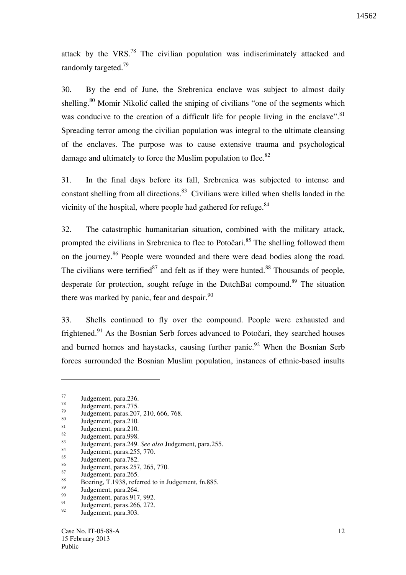attack by the VRS.<sup>78</sup> The civilian population was indiscriminately attacked and randomly targeted.<sup>79</sup>

30. By the end of June, the Srebrenica enclave was subject to almost daily shelling.<sup>80</sup> Momir Nikolić called the sniping of civilians "one of the segments which was conducive to the creation of a difficult life for people living in the enclave".<sup>81</sup> Spreading terror among the civilian population was integral to the ultimate cleansing of the enclaves. The purpose was to cause extensive trauma and psychological damage and ultimately to force the Muslim population to flee. $82$ 

31. In the final days before its fall, Srebrenica was subjected to intense and constant shelling from all directions.<sup>83</sup> Civilians were killed when shells landed in the vicinity of the hospital, where people had gathered for refuge.<sup>84</sup>

32. The catastrophic humanitarian situation, combined with the military attack, prompted the civilians in Srebrenica to flee to Potočari.<sup>85</sup> The shelling followed them on the journey.<sup>86</sup> People were wounded and there were dead bodies along the road. The civilians were terrified<sup>87</sup> and felt as if they were hunted.<sup>88</sup> Thousands of people, desperate for protection, sought refuge in the DutchBat compound.<sup>89</sup> The situation there was marked by panic, fear and despair. $^{90}$ 

33. Shells continued to fly over the compound. People were exhausted and frightened.<sup>91</sup> As the Bosnian Serb forces advanced to Potočari, they searched houses and burned homes and haystacks, causing further panic.<sup>92</sup> When the Bosnian Serb forces surrounded the Bosnian Muslim population, instances of ethnic-based insults

 $\overline{a}$ 

 $\frac{82}{83}$  Judgement, para.998.

 $\frac{77}{78}$  Judgement, para. 236.

 $\frac{78}{79}$  Judgement, para.775.

<sup>&</sup>lt;sup>79</sup> Judgement, paras. 207, 210, 666, 768.

 $\frac{80}{81}$  Judgement, para.210.

 $\frac{81}{82}$  Judgement, para.210.

<sup>83</sup> Judgement, para.249. *See also* Judgement, para.255.

 $\frac{84}{100}$  Judgement, paras. 255, 770.

 $\frac{85}{86}$  Judgement, para.782.

<sup>&</sup>lt;sup>86</sup> Judgement, paras.257, 265, 770.

 $\frac{87}{88}$  Judgement, para.265.

<sup>&</sup>lt;sup>88</sup> Boering, T.1938, referred to in Judgement, fn.885.

 $\frac{89}{90}$  Judgement, para. 264.

 $\frac{90}{91}$  Judgement, paras. 917, 992.

 $^{91}$  Judgement, paras. 266, 272.

Judgement, para.303.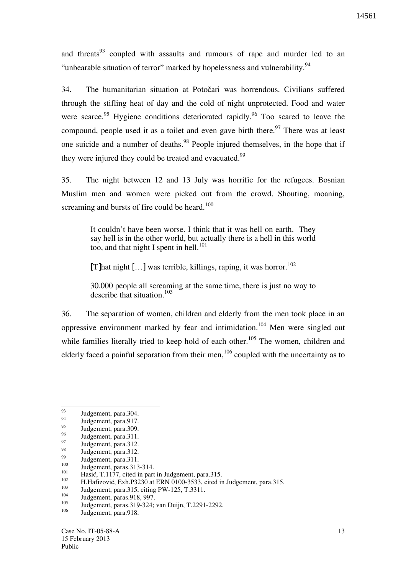and threats<sup>93</sup> coupled with assaults and rumours of rape and murder led to an "unbearable situation of terror" marked by hopelessness and vulnerability.<sup>94</sup>

34. The humanitarian situation at Potočari was horrendous. Civilians suffered through the stifling heat of day and the cold of night unprotected. Food and water were scarce.<sup>95</sup> Hygiene conditions deteriorated rapidly.<sup>96</sup> Too scared to leave the compound, people used it as a toilet and even gave birth there.<sup>97</sup> There was at least one suicide and a number of deaths.<sup>98</sup> People injured themselves, in the hope that if they were injured they could be treated and evacuated.<sup>99</sup>

35. The night between 12 and 13 July was horrific for the refugees. Bosnian Muslim men and women were picked out from the crowd. Shouting, moaning, screaming and bursts of fire could be heard.<sup>100</sup>

> It couldn't have been worse. I think that it was hell on earth. They say hell is in the other world, but actually there is a hell in this world too, and that night I spent in hell. $101$

[T]hat night  $[\,\ldots]$  was terrible, killings, raping, it was horror.<sup>102</sup>

30.000 people all screaming at the same time, there is just no way to describe that situation.<sup>103</sup>

36. The separation of women, children and elderly from the men took place in an oppressive environment marked by fear and intimidation.<sup>104</sup> Men were singled out while families literally tried to keep hold of each other.<sup>105</sup> The women, children and elderly faced a painful separation from their men,  $106$  coupled with the uncertainty as to

 $\frac{99}{100}$  Judgement, para.311.

 $104$  Judgement, paras. 918, 997.

<sup>93</sup>  $\frac{93}{94}$  Judgement, para. 304.

 $\frac{94}{95}$  Judgement, para.917.

 $\frac{95}{96}$  Judgement, para. 309.

 $\frac{96}{97}$  Judgement, para.311.

 $\frac{97}{98}$  Judgement, para.312.

 $\frac{98}{99}$  Judgement, para.312.

 $100$  Judgement, paras. 313-314.

<sup>&</sup>lt;sup>101</sup> Hasić, T.1177, cited in part in Judgement, para.315.

<sup>&</sup>lt;sup>102</sup> H.Hafizović, Exh.P3230 at ERN 0100-3533, cited in Judgement, para.315.

 $103$  Judgement, para.315, citing PW-125, T.3311.

 $\frac{105}{106}$  Judgement, paras. 319-324; van Duijn, T.2291-2292.

Judgement, para.918.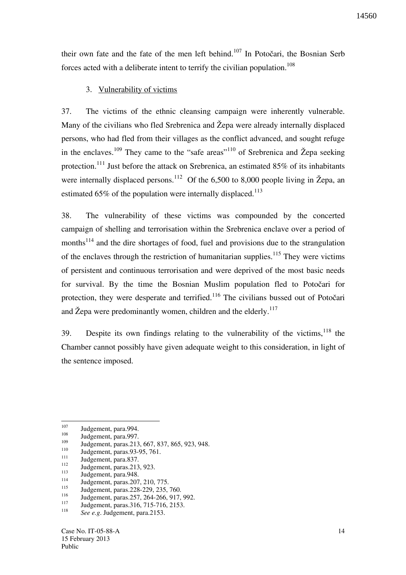their own fate and the fate of the men left behind.<sup>107</sup> In Potočari, the Bosnian Serb forces acted with a deliberate intent to terrify the civilian population.<sup>108</sup>

#### 3. Vulnerability of victims

37. The victims of the ethnic cleansing campaign were inherently vulnerable. Many of the civilians who fled Srebrenica and Žepa were already internally displaced persons, who had fled from their villages as the conflict advanced, and sought refuge in the enclaves.<sup>109</sup> They came to the "safe areas"<sup>110</sup> of Srebrenica and Žepa seeking protection.<sup>111</sup> Just before the attack on Srebrenica, an estimated  $85\%$  of its inhabitants were internally displaced persons.<sup>112</sup> Of the 6,500 to 8,000 people living in  $\check{Z}$ epa, an estimated  $65\%$  of the population were internally displaced.<sup>113</sup>

38. The vulnerability of these victims was compounded by the concerted campaign of shelling and terrorisation within the Srebrenica enclave over a period of months<sup>114</sup> and the dire shortages of food, fuel and provisions due to the strangulation of the enclaves through the restriction of humanitarian supplies.<sup>115</sup> They were victims of persistent and continuous terrorisation and were deprived of the most basic needs for survival. By the time the Bosnian Muslim population fled to Potočari for protection, they were desperate and terrified.<sup>116</sup> The civilians bussed out of Potočari and Žepa were predominantly women, children and the elderly.<sup>117</sup>

39. Despite its own findings relating to the vulnerability of the victims,  $118$  the Chamber cannot possibly have given adequate weight to this consideration, in light of the sentence imposed.

<sup>107</sup>  $\frac{107}{108}$  Judgement, para.994.

 $\frac{108}{109}$  Judgement, para.997.

 $\frac{109}{110}$  Judgement, paras. 213, 667, 837, 865, 923, 948.

 $110$  Judgement, paras. 93-95, 761.

 $\frac{111}{112}$  Judgement, para.837.

 $\frac{112}{113}$  Judgement, paras. 213, 923.

 $\frac{113}{114}$  Judgement, para.948.

<sup>&</sup>lt;sup>114</sup> Judgement, paras. 207, 210, 775.

<sup>&</sup>lt;sup>115</sup> Judgement, paras.228-229, 235, 760.

<sup>&</sup>lt;sup>116</sup> Judgement, paras.257, 264-266, 917, 992.

Judgement, paras.316, 715-716, 2153. 118 *See e.g*. Judgement, para.2153.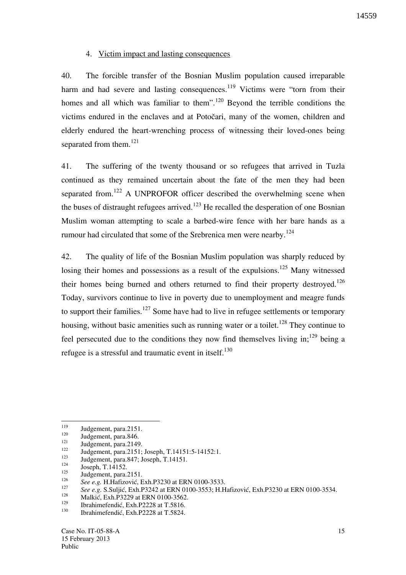#### 4. Victim impact and lasting consequences

40. The forcible transfer of the Bosnian Muslim population caused irreparable harm and had severe and lasting consequences.<sup>119</sup> Victims were "torn from their homes and all which was familiar to them".<sup>120</sup> Beyond the terrible conditions the victims endured in the enclaves and at Potočari, many of the women, children and elderly endured the heart-wrenching process of witnessing their loved-ones being separated from them.<sup>121</sup>

41. The suffering of the twenty thousand or so refugees that arrived in Tuzla continued as they remained uncertain about the fate of the men they had been separated from.<sup>122</sup> A UNPROFOR officer described the overwhelming scene when the buses of distraught refugees arrived.<sup>123</sup> He recalled the desperation of one Bosnian Muslim woman attempting to scale a barbed-wire fence with her bare hands as a rumour had circulated that some of the Srebrenica men were nearby.<sup>124</sup>

42. The quality of life of the Bosnian Muslim population was sharply reduced by losing their homes and possessions as a result of the expulsions.<sup>125</sup> Many witnessed their homes being burned and others returned to find their property destroyed.<sup>126</sup> Today, survivors continue to live in poverty due to unemployment and meagre funds to support their families.<sup>127</sup> Some have had to live in refugee settlements or temporary housing, without basic amenities such as running water or a toilet.<sup>128</sup> They continue to feel persecuted due to the conditions they now find themselves living in;<sup>129</sup> being a refugee is a stressful and traumatic event in itself.<sup>130</sup>

<sup>119</sup>  $119$  Judgement, para.2151.

 $\frac{120}{121}$  Judgement, para.846.

 $\frac{121}{122}$  Judgement, para.2149.

<sup>&</sup>lt;sup>122</sup> Judgement, para.2151; Joseph, T.14151:5-14152:1.

 $123$  Judgement, para.847; Joseph, T.14151.

 $\frac{124}{125}$  Joseph, T.14152.

Judgement, para.2151. 126

See e.g. H.Hafizović, Exh.P3230 at ERN 0100-3533.

<sup>127</sup> <sup>127</sup> See e.g. S.Suljić, Exh.P3242 at ERN 0100-3553; H.Hafizović, Exh.P3230 at ERN 0100-3534.

<sup>&</sup>lt;sup>128</sup> Malkić, Exh.P3229 at ERN 0100-3562.

<sup>&</sup>lt;sup>129</sup> Ibrahimefendić, Exh.P2228 at T.5816.

Ibrahimefendić, Exh.P2228 at T.5824.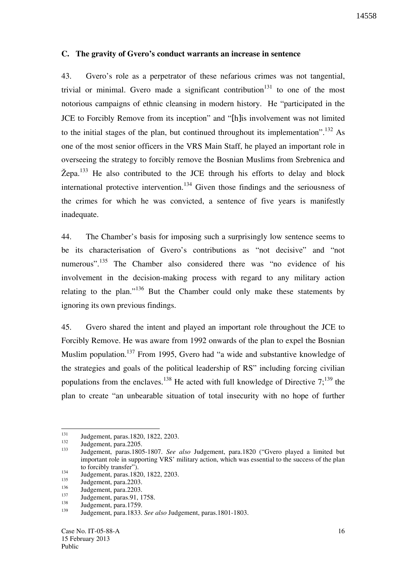#### **C. The gravity of Gvero's conduct warrants an increase in sentence**

43. Gvero's role as a perpetrator of these nefarious crimes was not tangential, trivial or minimal. Gvero made a significant contribution<sup>131</sup> to one of the most notorious campaigns of ethnic cleansing in modern history. He "participated in the JCE to Forcibly Remove from its inception" and "[h]is involvement was not limited to the initial stages of the plan, but continued throughout its implementation".<sup>132</sup> As one of the most senior officers in the VRS Main Staff, he played an important role in overseeing the strategy to forcibly remove the Bosnian Muslims from Srebrenica and  $\check{Z}$ epa.<sup>133</sup> He also contributed to the JCE through his efforts to delay and block international protective intervention.<sup>134</sup> Given those findings and the seriousness of the crimes for which he was convicted, a sentence of five years is manifestly inadequate.

44. The Chamber's basis for imposing such a surprisingly low sentence seems to be its characterisation of Gvero's contributions as "not decisive" and "not numerous".<sup>135</sup> The Chamber also considered there was "no evidence of his involvement in the decision-making process with regard to any military action relating to the plan."<sup>136</sup> But the Chamber could only make these statements by ignoring its own previous findings.

45. Gvero shared the intent and played an important role throughout the JCE to Forcibly Remove. He was aware from 1992 onwards of the plan to expel the Bosnian Muslim population.<sup>137</sup> From 1995, Gvero had "a wide and substantive knowledge of the strategies and goals of the political leadership of RS" including forcing civilian populations from the enclaves.<sup>138</sup> He acted with full knowledge of Directive  $7$ ;<sup>139</sup> the plan to create "an unbearable situation of total insecurity with no hope of further

<sup>131</sup> <sup>131</sup> Judgement, paras.1820, 1822, 2203.

 $\frac{132}{133}$  Judgement, para.2205.

<sup>133</sup> Judgement, paras.1805-1807. *See also* Judgement, para.1820 ("Gvero played a limited but important role in supporting VRS' military action, which was essential to the success of the plan to forcibly transfer").

<sup>&</sup>lt;sup>134</sup> Judgement, paras.1820, 1822, 2203.

 $\frac{135}{136}$  Judgement, para.2203.

 $\frac{136}{137}$  Judgement, para.2203.

 $\frac{137}{138}$  Judgement, paras. 91, 1758.

 $\frac{138}{139}$  Judgement, para.1759.

<sup>139</sup> Judgement, para.1833. *See also* Judgement, paras.1801-1803.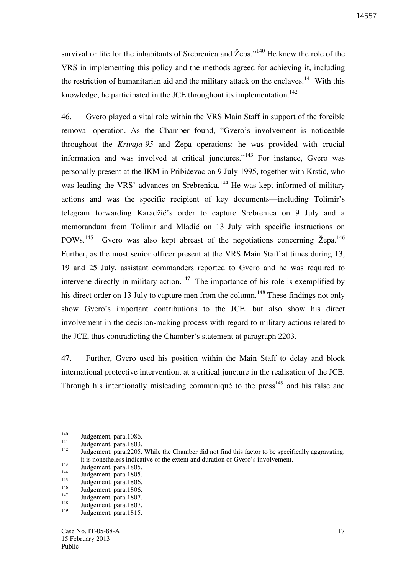survival or life for the inhabitants of Srebrenica and  $\check{Z}epa."$ <sup>140</sup> He knew the role of the VRS in implementing this policy and the methods agreed for achieving it, including the restriction of humanitarian aid and the military attack on the enclaves.<sup>141</sup> With this knowledge, he participated in the JCE throughout its implementation.<sup>142</sup>

46. Gvero played a vital role within the VRS Main Staff in support of the forcible removal operation. As the Chamber found, "Gvero's involvement is noticeable throughout the *Krivaja-95* and Žepa operations: he was provided with crucial information and was involved at critical junctures."<sup>143</sup> For instance, Gvero was personally present at the IKM in Pribićevac on 9 July 1995, together with Krstić, who was leading the VRS' advances on Srebrenica.<sup>144</sup> He was kept informed of military actions and was the specific recipient of key documents—including Tolimir's telegram forwarding Karadžić's order to capture Srebrenica on 9 July and a memorandum from Tolimir and Mladić on 13 July with specific instructions on POWs.<sup>145</sup> Gvero was also kept abreast of the negotiations concerning  $\check{Z}$ epa.<sup>146</sup> Further, as the most senior officer present at the VRS Main Staff at times during 13, 19 and 25 July, assistant commanders reported to Gvero and he was required to intervene directly in military action.<sup>147</sup> The importance of his role is exemplified by his direct order on 13 July to capture men from the column.<sup>148</sup> These findings not only show Gvero's important contributions to the JCE, but also show his direct involvement in the decision-making process with regard to military actions related to the JCE, thus contradicting the Chamber's statement at paragraph 2203.

47. Further, Gvero used his position within the Main Staff to delay and block international protective intervention, at a critical juncture in the realisation of the JCE. Through his intentionally misleading communiqué to the press<sup>149</sup> and his false and

 $\overline{a}$ 

 $\frac{140}{141}$  Judgement, para. 1086.

 $\frac{141}{142}$  Judgement, para.1803.

<sup>142</sup> Judgement, para.2205. While the Chamber did not find this factor to be specifically aggravating, it is nonetheless indicative of the extent and duration of Gvero's involvement.

 $\frac{143}{144}$  Judgement, para.1805.

 $\frac{144}{145}$  Judgement, para.1805.

 $\frac{145}{146}$  Judgement, para.1806.

 $\frac{146}{147}$  Judgement, para.1806.

 $\frac{147}{148}$  Judgement, para.1807.

 $\frac{148}{149}$  Judgement, para.1807.

Judgement, para.1815.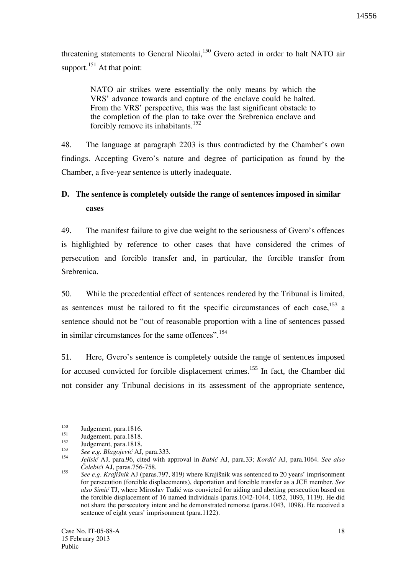threatening statements to General Nicolai,<sup>150</sup> Gvero acted in order to halt NATO air support. $151$  At that point:

> NATO air strikes were essentially the only means by which the VRS' advance towards and capture of the enclave could be halted. From the VRS' perspective, this was the last significant obstacle to the completion of the plan to take over the Srebrenica enclave and forcibly remove its inhabitants.<sup>152</sup>

48. The language at paragraph 2203 is thus contradicted by the Chamber's own findings. Accepting Gvero's nature and degree of participation as found by the Chamber, a five-year sentence is utterly inadequate.

# **D. The sentence is completely outside the range of sentences imposed in similar cases**

49. The manifest failure to give due weight to the seriousness of Gvero's offences is highlighted by reference to other cases that have considered the crimes of persecution and forcible transfer and, in particular, the forcible transfer from Srebrenica.

50. While the precedential effect of sentences rendered by the Tribunal is limited, as sentences must be tailored to fit the specific circumstances of each case, $153$  a sentence should not be "out of reasonable proportion with a line of sentences passed in similar circumstances for the same offences".<sup>154</sup>

51. Here, Gvero's sentence is completely outside the range of sentences imposed for accused convicted for forcible displacement crimes.<sup>155</sup> In fact, the Chamber did not consider any Tribunal decisions in its assessment of the appropriate sentence,

<sup>150</sup>  $150$  Judgement, para.1816.

 $\frac{151}{152}$  Judgement, para.1818.

Judgement, para.1818.

<sup>153</sup> *See e.g. Blagojević* AJ, para.333. 154

*Jelisi}* AJ, para.96, cited with approval in *Babi}* AJ, para.33; *Kordi}* AJ, para.1064. *See also ^elebi}i* AJ, paras.756-758. 155

*See e.g. Krajišnik* AJ (paras.797, 819) where Krajišnik was sentenced to 20 years' imprisonment for persecution (forcible displacements), deportation and forcible transfer as a JCE member. *See also Simić* TJ, where Miroslav Tadić was convicted for aiding and abetting persecution based on the forcible displacement of 16 named individuals (paras.1042-1044, 1052, 1093, 1119). He did not share the persecutory intent and he demonstrated remorse (paras.1043, 1098). He received a sentence of eight years' imprisonment (para.1122).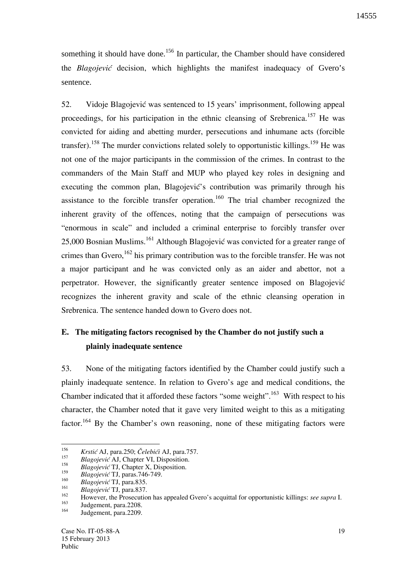something it should have done.<sup>156</sup> In particular, the Chamber should have considered the *Blagojević* decision, which highlights the manifest inadequacy of Gvero's sentence.

52. Vidoje Blagojević was sentenced to 15 years' imprisonment, following appeal proceedings, for his participation in the ethnic cleansing of Srebrenica.<sup>157</sup> He was convicted for aiding and abetting murder, persecutions and inhumane acts (forcible transfer).<sup>158</sup> The murder convictions related solely to opportunistic killings.<sup>159</sup> He was not one of the major participants in the commission of the crimes. In contrast to the commanders of the Main Staff and MUP who played key roles in designing and executing the common plan, Blagojević's contribution was primarily through his assistance to the forcible transfer operation.<sup>160</sup> The trial chamber recognized the inherent gravity of the offences, noting that the campaign of persecutions was "enormous in scale" and included a criminal enterprise to forcibly transfer over 25,000 Bosnian Muslims.<sup>161</sup> Although Blagojević was convicted for a greater range of crimes than Gvero,  $162$  his primary contribution was to the forcible transfer. He was not a major participant and he was convicted only as an aider and abettor, not a perpetrator. However, the significantly greater sentence imposed on Blagojević recognizes the inherent gravity and scale of the ethnic cleansing operation in Srebrenica. The sentence handed down to Gvero does not.

# **E. The mitigating factors recognised by the Chamber do not justify such a plainly inadequate sentence**

53. None of the mitigating factors identified by the Chamber could justify such a plainly inadequate sentence. In relation to Gvero's age and medical conditions, the Chamber indicated that it afforded these factors "some weight".<sup>163</sup> With respect to his character, the Chamber noted that it gave very limited weight to this as a mitigating factor.<sup>164</sup> By the Chamber's own reasoning, none of these mitigating factors were

 156 *Krsti}* AJ, para.250; *^elebi}i* AJ, para.757. 157

*Blagojević* AJ, Chapter VI, Disposition. 158

*Blagojević* TJ, Chapter X, Disposition.

<sup>159</sup> *Blagojevi}* TJ, paras.746-749.

<sup>160</sup> *Blagojević* TJ, para.835.

<sup>161</sup> <sup>161</sup> *Blagojević* TJ, para.837.

<sup>162</sup> However, the Prosecution has appealed Gvero's acquittal for opportunistic killings: *see supra* I.

 $\frac{163}{164}$  Judgement, para.2208.

Judgement, para.2209.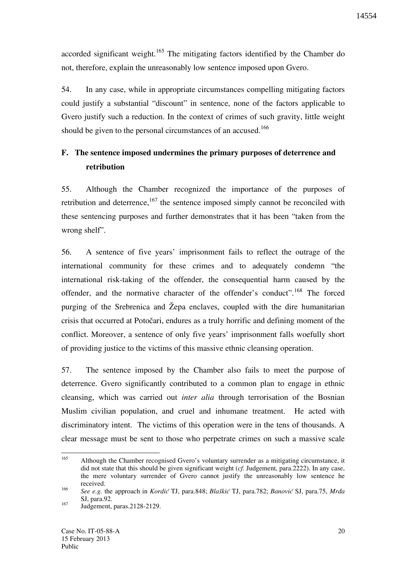accorded significant weight.<sup>165</sup> The mitigating factors identified by the Chamber do not, therefore, explain the unreasonably low sentence imposed upon Gvero.

54. In any case, while in appropriate circumstances compelling mitigating factors could justify a substantial "discount" in sentence, none of the factors applicable to Gvero justify such a reduction. In the context of crimes of such gravity, little weight should be given to the personal circumstances of an accused.<sup>166</sup>

# **F. The sentence imposed undermines the primary purposes of deterrence and retribution**

55. Although the Chamber recognized the importance of the purposes of retribution and deterrence,  $167$  the sentence imposed simply cannot be reconciled with these sentencing purposes and further demonstrates that it has been "taken from the wrong shelf".

56. A sentence of five years' imprisonment fails to reflect the outrage of the international community for these crimes and to adequately condemn "the international risk-taking of the offender, the consequential harm caused by the offender, and the normative character of the offender's conduct".<sup>168</sup> The forced purging of the Srebrenica and  $\zeta$  enclaves, coupled with the dire humanitarian crisis that occurred at Potočari, endures as a truly horrific and defining moment of the conflict. Moreover, a sentence of only five years' imprisonment falls woefully short of providing justice to the victims of this massive ethnic cleansing operation.

57. The sentence imposed by the Chamber also fails to meet the purpose of deterrence. Gvero significantly contributed to a common plan to engage in ethnic cleansing, which was carried out *inter alia* through terrorisation of the Bosnian Muslim civilian population, and cruel and inhumane treatment. He acted with discriminatory intent. The victims of this operation were in the tens of thousands. A clear message must be sent to those who perpetrate crimes on such a massive scale

<sup>165</sup> <sup>165</sup> Although the Chamber recognised Gvero's voluntary surrender as a mitigating circumstance, it did not state that this should be given significant weight (*cf.* Judgement, para.2222). In any case, the mere voluntary surrender of Gvero cannot justify the unreasonably low sentence he received. 166

*See e.g.* the approach in *Kordić* TJ, para.848; *Blaškić* TJ, para.782; *Banović* SJ, para.75, *Mrda* SJ, para.92.

 $167$  Judgement, paras. 2128-2129.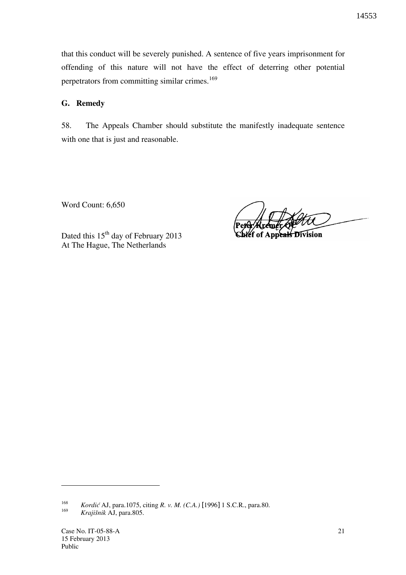that this conduct will be severely punished. A sentence of five years imprisonment for offending of this nature will not have the effect of deterring other potential perpetrators from committing similar crimes.<sup>169</sup>

### **G. Remedy**

58. The Appeals Chamber should substitute the manifestly inadequate sentence with one that is just and reasonable.

Word Count: 6,650

Dated this 15<sup>th</sup> day of February 2013 At The Hague, The Netherlands

beals Division

168 *Kordić* AJ, para.1075, citing *R. v. M. (C.A.)* [1996] 1 S.C.R., para.80. 169 *Krajišnik* AJ, para.805.

 $\overline{a}$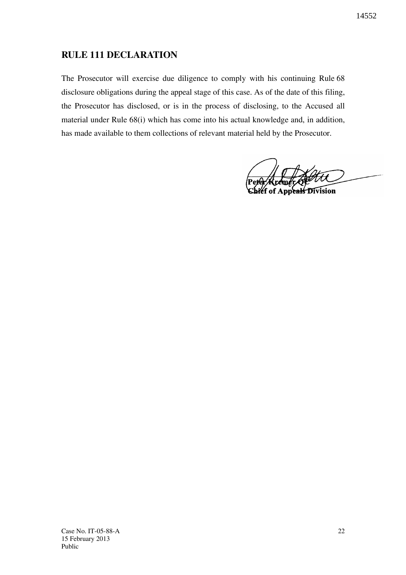# **RULE 111 DECLARATION**

The Prosecutor will exercise due diligence to comply with his continuing Rule 68 disclosure obligations during the appeal stage of this case. As of the date of this filing, the Prosecutor has disclosed, or is in the process of disclosing, to the Accused all material under Rule 68(i) which has come into his actual knowledge and, in addition, has made available to them collections of relevant material held by the Prosecutor.

ak Division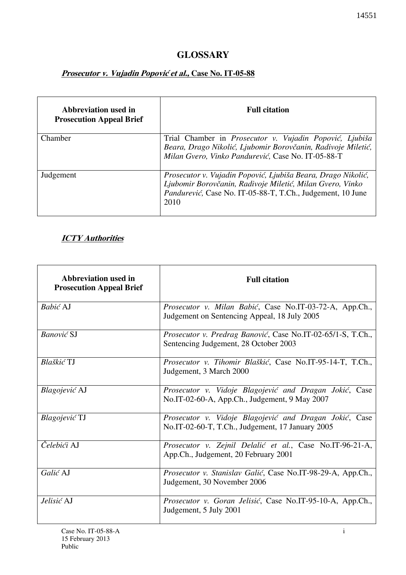# **GLOSSARY**

# **Prosecutor v. Vujadin Popović et al., Case No. IT-05-88**

| Abbreviation used in<br><b>Prosecution Appeal Brief</b> | <b>Full citation</b>                                                                                                                                                                            |
|---------------------------------------------------------|-------------------------------------------------------------------------------------------------------------------------------------------------------------------------------------------------|
| Chamber                                                 | Trial Chamber in Prosecutor v. Vujadin Popović, Ljubiša<br>Beara, Drago Nikolić, Ljubomir Borovčanin, Radivoje Miletić,<br>Milan Gvero, Vinko Pandurević, Case No. IT-05-88-T                   |
| Judgement                                               | Prosecutor v. Vujadin Popović, Ljubiša Beara, Drago Nikolić,<br>Ljubomir Borovčanin, Radivoje Miletić, Milan Gvero, Vinko<br>Pandurević, Case No. IT-05-88-T, T.Ch., Judgement, 10 June<br>2010 |

## **ICTY Authorities**

| Abbreviation used in<br><b>Prosecution Appeal Brief</b> | <b>Full citation</b>                                                                                       |
|---------------------------------------------------------|------------------------------------------------------------------------------------------------------------|
| Babić AJ                                                | Prosecutor v. Milan Babić, Case No.IT-03-72-A, App.Ch.,<br>Judgement on Sentencing Appeal, 18 July 2005    |
| <b>Banović SJ</b>                                       | Prosecutor v. Predrag Banović, Case No.IT-02-65/1-S, T.Ch.,<br>Sentencing Judgement, 28 October 2003       |
| Blaškić TJ                                              | Prosecutor v. Tihomir Blaškić, Case No.IT-95-14-T, T.Ch.,<br>Judgement, 3 March 2000                       |
| Blagojević AJ                                           | Prosecutor v. Vidoje Blagojević and Dragan Jokić, Case<br>No.IT-02-60-A, App.Ch., Judgement, 9 May 2007    |
| Blagojević TJ                                           | Prosecutor v. Vidoje Blagojević and Dragan Jokić, Case<br>No.IT-02-60-T, T.Ch., Judgement, 17 January 2005 |
| Čelebići AJ                                             | Prosecutor v. Zejnil Delalić et al., Case No.IT-96-21-A,<br>App.Ch., Judgement, 20 February 2001           |
| Galić AJ                                                | Prosecutor v. Stanislav Galić, Case No.IT-98-29-A, App.Ch.,<br>Judgement, 30 November 2006                 |
| Jelisić AJ                                              | Prosecutor v. Goran Jelisić, Case No.IT-95-10-A, App.Ch.,<br>Judgement, 5 July 2001                        |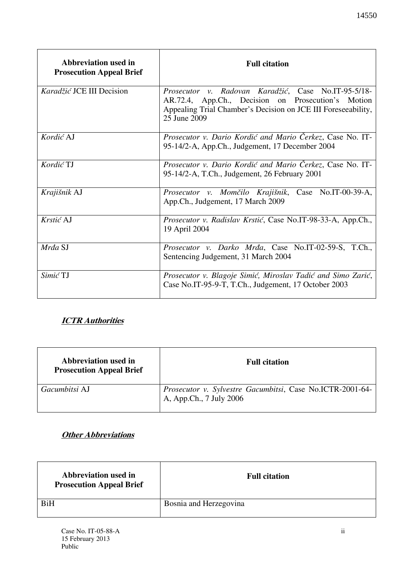| Abbreviation used in<br><b>Prosecution Appeal Brief</b> | <b>Full citation</b>                                                                                                                                                                       |
|---------------------------------------------------------|--------------------------------------------------------------------------------------------------------------------------------------------------------------------------------------------|
| Karadžić JCE III Decision                               | Prosecutor v. Radovan Karadžić, Case No.IT-95-5/18-<br>AR.72.4, App.Ch., Decision on Prosecution's Motion<br>Appealing Trial Chamber's Decision on JCE III Foreseeability,<br>25 June 2009 |
| Kordić AJ                                               | Prosecutor v. Dario Kordić and Mario Čerkez, Case No. IT-<br>95-14/2-A, App.Ch., Judgement, 17 December 2004                                                                               |
| Kordić TJ                                               | Prosecutor v. Dario Kordić and Mario Čerkez, Case No. IT-<br>95-14/2-A, T.Ch., Judgement, 26 February 2001                                                                                 |
| Krajišnik AJ                                            | Prosecutor v. Momčilo Krajišnik, Case No.IT-00-39-A,<br>App.Ch., Judgement, 17 March 2009                                                                                                  |
| Krstić AJ                                               | Prosecutor v. Radislav Krstić, Case No.IT-98-33-A, App.Ch.,<br>19 April 2004                                                                                                               |
| Mrđa SJ                                                 | Prosecutor v. Darko Mrda, Case No.IT-02-59-S, T.Ch.,<br>Sentencing Judgement, 31 March 2004                                                                                                |

## **ICTR Authorities**

| Abbreviation used in<br><b>Prosecution Appeal Brief</b> | <b>Full citation</b>                                                                 |
|---------------------------------------------------------|--------------------------------------------------------------------------------------|
| Gacumbitsi AJ                                           | Prosecutor v. Sylvestre Gacumbitsi, Case No.ICTR-2001-64-<br>A, App.Ch., 7 July 2006 |

*Simić* TJ *Prosecutor v. Blagoje Simić, Miroslav Tadić and Simo Zarić*,

Case No.IT-95-9-T, T.Ch., Judgement, 17 October 2003

### **Other Abbreviations**

| Abbreviation used in<br><b>Prosecution Appeal Brief</b> | <b>Full citation</b>   |
|---------------------------------------------------------|------------------------|
| <b>BiH</b>                                              | Bosnia and Herzegovina |